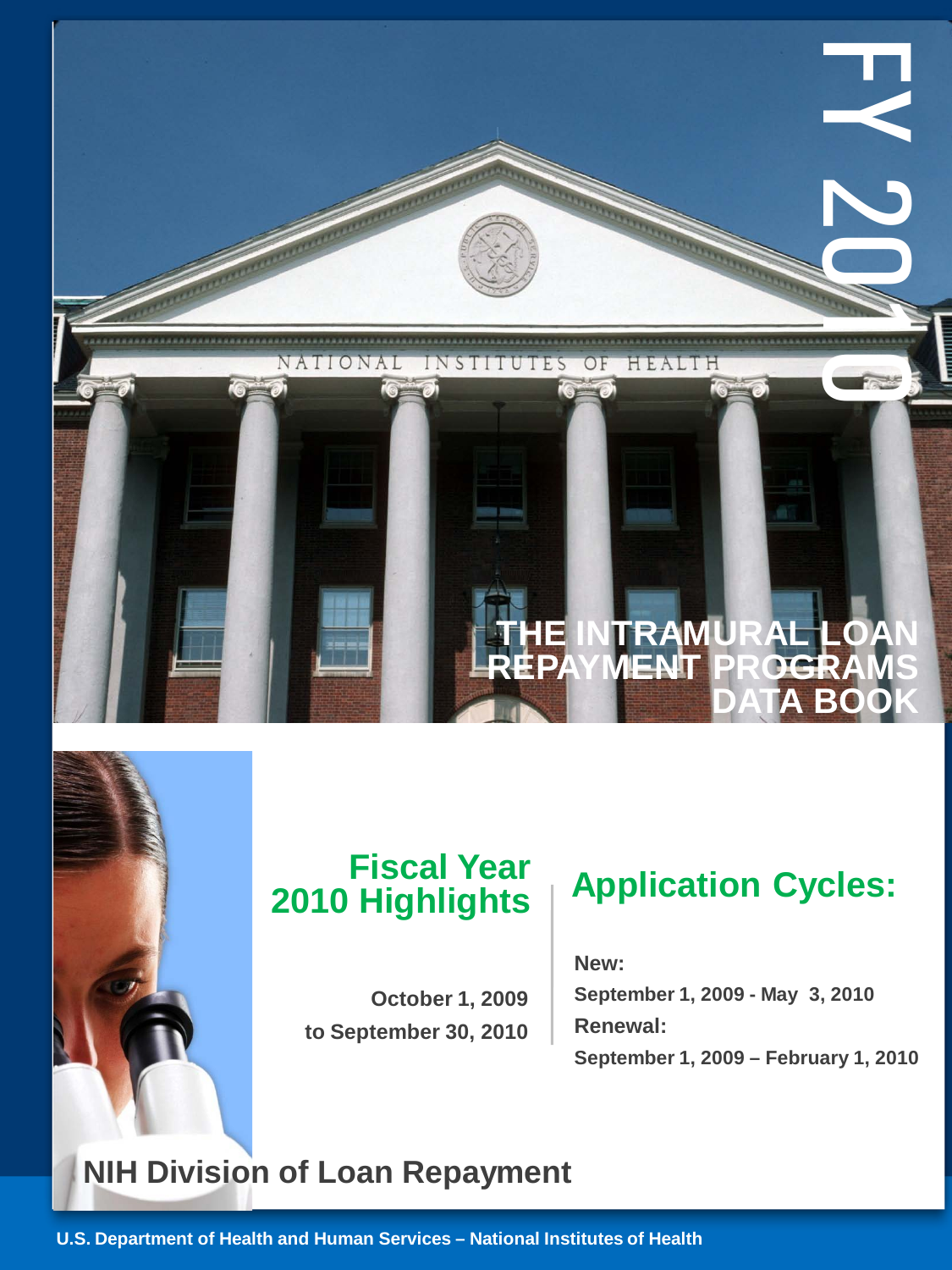

# **2010 Highlights**

**October 1, 2009 to September 30, 2010**

## **Application Cycles: Fiscal Year**

**New: September 1, 2009 - May 3, 2010 Renewal: September 1, 2009 – February 1, 2010**

### **NIH Division of Loan Repayment**

**U.S. Department of Health and Human Services – National Institutes of Health**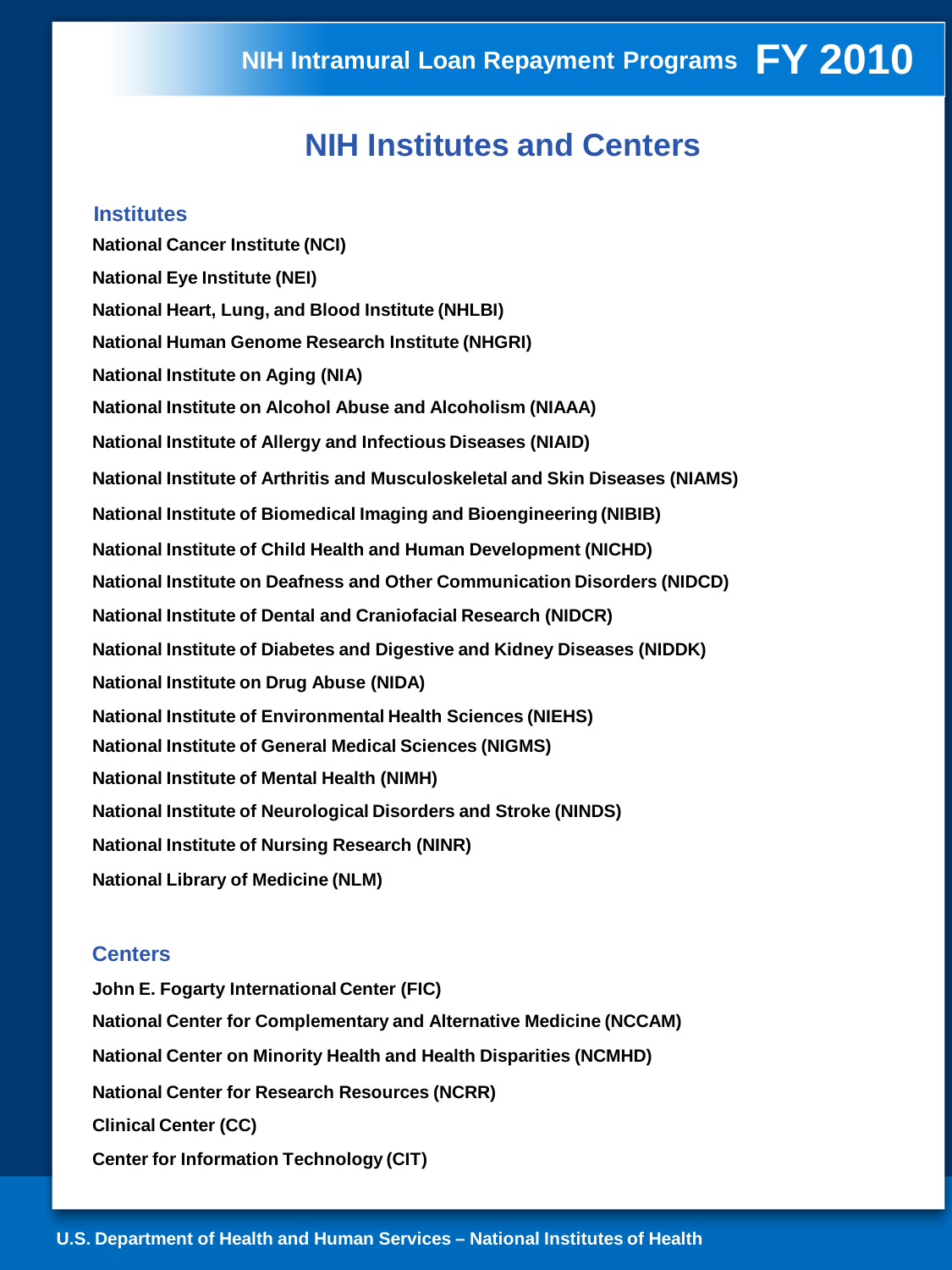#### **NIH Institutes and Centers**

#### **Institutes**

**National Cancer Institute (NCI) National Eye Institute (NEI) National Heart, Lung, and Blood Institute (NHLBI) National Human Genome Research Institute (NHGRI) National Institute on Aging (NIA) National Institute on Alcohol Abuse and Alcoholism (NIAAA) National Institute of Allergy and Infectious Diseases (NIAID) National Institute of Arthritis and Musculoskeletal and Skin Diseases (NIAMS) National Institute of Biomedical Imaging and Bioengineering (NIBIB) National Institute of Child Health and Human Development (NICHD) National Institute on Deafness and Other Communication Disorders (NIDCD) National Institute of Dental and Craniofacial Research (NIDCR) National Institute of Diabetes and Digestive and Kidney Diseases (NIDDK) National Institute on Drug Abuse (NIDA) National Institute of Environmental Health Sciences (NIEHS) National Institute of General Medical Sciences (NIGMS) National Institute of Mental Health (NIMH) National Institute of Neurological Disorders and Stroke (NINDS) National Institute of Nursing Research (NINR) National Library of Medicine (NLM)**

#### **Centers**

**John E. Fogarty International Center (FIC) National Center for Complementary and Alternative Medicine (NCCAM) National Center on Minority Health and Health Disparities (NCMHD) National Center for Research Resources (NCRR) Clinical Center (CC) Center for Information Technology (CIT)**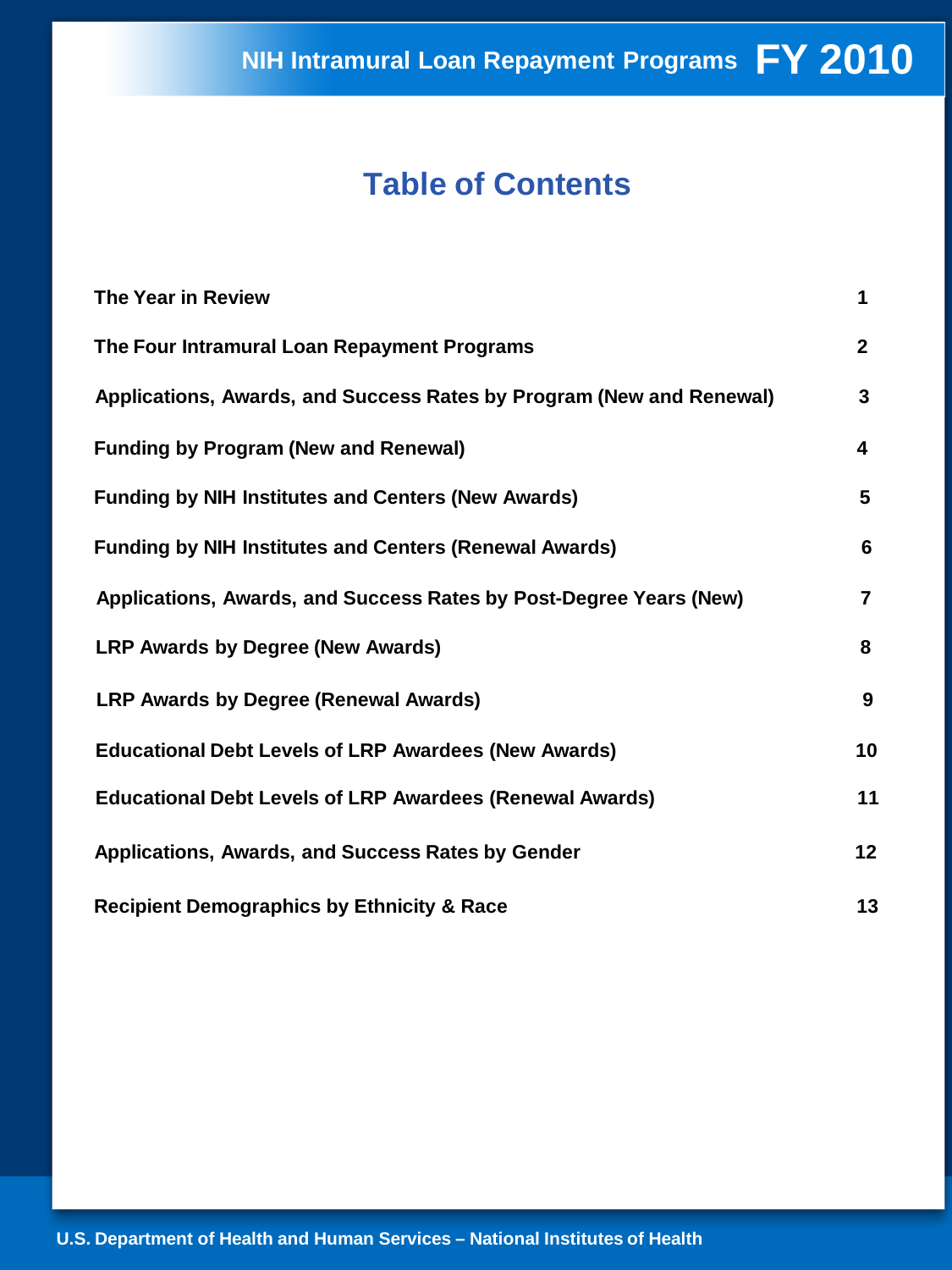#### **Table of Contents**

| The Year in Review                                                   | 1              |
|----------------------------------------------------------------------|----------------|
| The Four Intramural Loan Repayment Programs                          | $\mathbf{2}$   |
| Applications, Awards, and Success Rates by Program (New and Renewal) | 3              |
| <b>Funding by Program (New and Renewal)</b>                          | 4              |
| <b>Funding by NIH Institutes and Centers (New Awards)</b>            | 5              |
| <b>Funding by NIH Institutes and Centers (Renewal Awards)</b>        | 6              |
| Applications, Awards, and Success Rates by Post-Degree Years (New)   | $\overline{7}$ |
| <b>LRP Awards by Degree (New Awards)</b>                             | 8              |
| <b>LRP Awards by Degree (Renewal Awards)</b>                         | 9              |
| <b>Educational Debt Levels of LRP Awardees (New Awards)</b>          | 10             |
| <b>Educational Debt Levels of LRP Awardees (Renewal Awards)</b>      | 11             |
| Applications, Awards, and Success Rates by Gender                    | 12             |
| <b>Recipient Demographics by Ethnicity &amp; Race</b>                | 13             |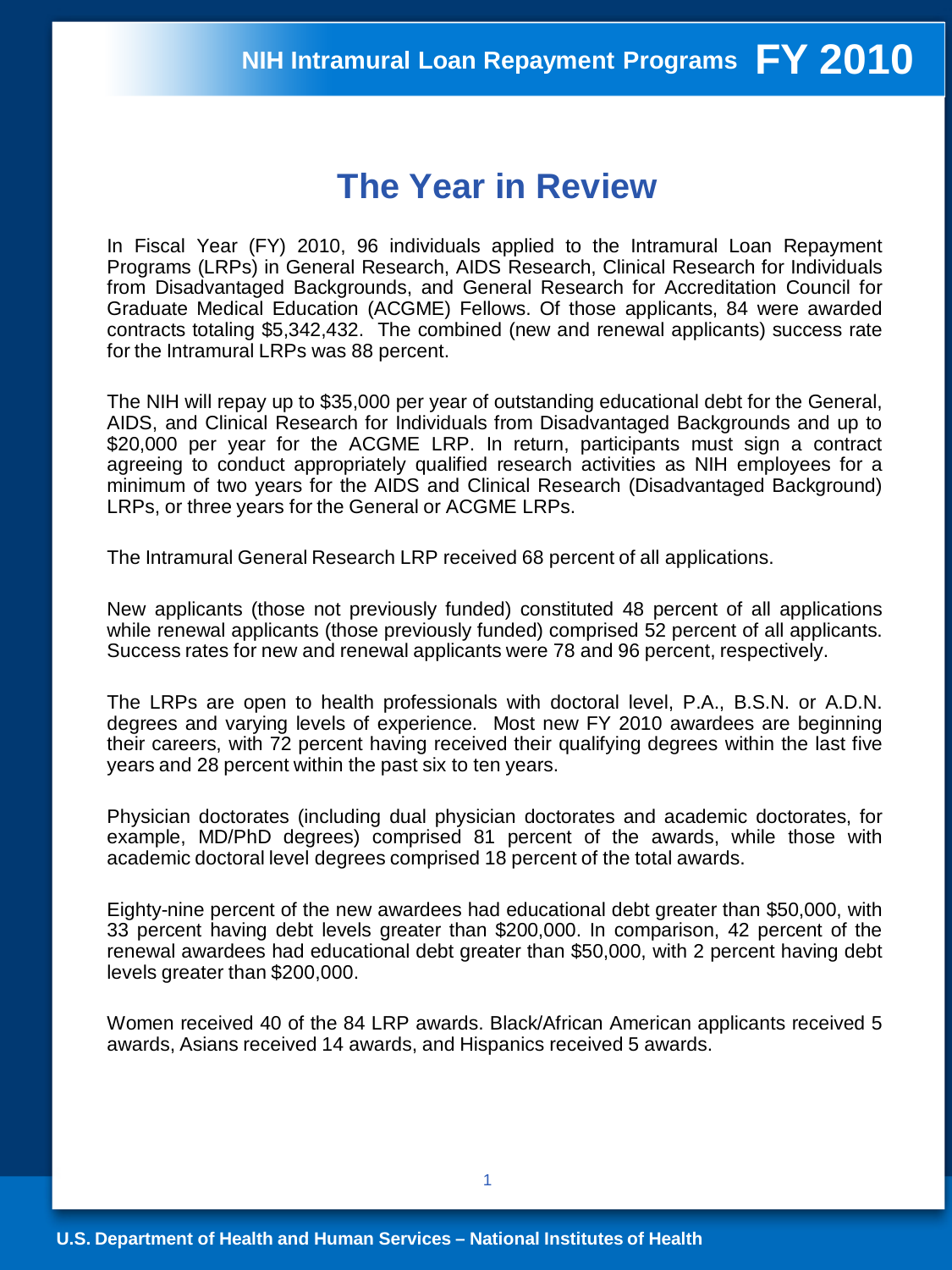### **The Year in Review**

In Fiscal Year (FY) 2010, 96 individuals applied to the Intramural Loan Repayment Programs (LRPs) in General Research, AIDS Research, Clinical Research for Individuals from Disadvantaged Backgrounds, and General Research for Accreditation Council for Graduate Medical Education (ACGME) Fellows. Of those applicants, 84 were awarded contracts totaling \$5,342,432. The combined (new and renewal applicants) success rate for the Intramural LRPs was 88 percent.

The NIH will repay up to \$35,000 per year of outstanding educational debt for the General, AIDS, and Clinical Research for Individuals from Disadvantaged Backgrounds and up to \$20,000 per year for the ACGME LRP. In return, participants must sign a contract agreeing to conduct appropriately qualified research activities as NIH employees for a minimum of two years for the AIDS and Clinical Research (Disadvantaged Background) LRPs, or three years for the General or ACGME LRPs.

The Intramural General Research LRP received 68 percent of all applications.

New applicants (those not previously funded) constituted 48 percent of all applications while renewal applicants (those previously funded) comprised 52 percent of all applicants. Success rates for new and renewal applicants were 78 and 96 percent, respectively.

The LRPs are open to health professionals with doctoral level, P.A., B.S.N. or A.D.N. degrees and varying levels of experience. Most new FY 2010 awardees are beginning their careers, with 72 percent having received their qualifying degrees within the last five years and 28 percent within the past six to ten years.

Physician doctorates (including dual physician doctorates and academic doctorates, for example, MD/PhD degrees) comprised 81 percent of the awards, while those with academic doctoral level degrees comprised 18 percent of the total awards.

Eighty-nine percent of the new awardees had educational debt greater than \$50,000, with 33 percent having debt levels greater than \$200,000. In comparison, 42 percent of the renewal awardees had educational debt greater than \$50,000, with 2 percent having debt levels greater than \$200,000.

Women received 40 of the 84 LRP awards. Black/African American applicants received 5 awards, Asians received 14 awards, and Hispanics received 5 awards.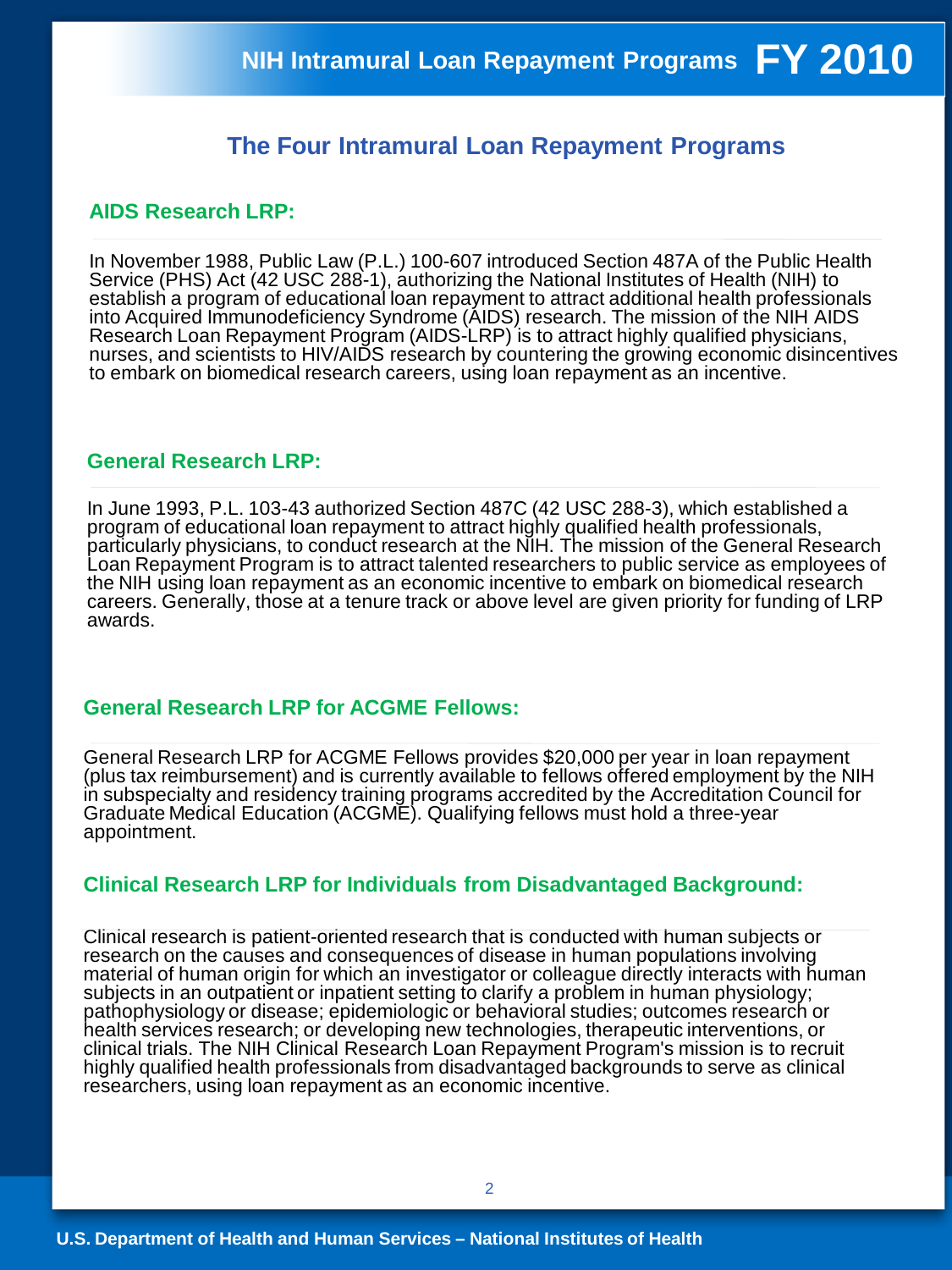#### **The Four Intramural Loan Repayment Programs**

#### **AIDS Research LRP:**

In November 1988, Public Law (P.L.) 100-607 introduced Section 487A of the Public Health Service (PHS) Act (42 USC 288-1), authorizing the National Institutes of Health (NIH) to establish a program of educational loan repayment to attract additional health professionals into Acquired Immunodeficiency Syndrome (AIDS) research. The mission of the NIH AIDS Research Loan Repayment Program (AIDS-LRP) is to attract highly qualified physicians, nurses, and scientists to HIV/AIDS research by countering the growing economic disincentives to embark on biomedical research careers, using loan repayment as an incentive.

#### **General Research LRP:**

In June 1993, P.L. 103-43 authorized Section 487C (42 USC 288-3), which established a program of educational loan repayment to attract highly qualified health professionals, particularly physicians, to conduct research at the NIH. The mission of the General Research Loan Repayment Program is to attract talented researchers to public service as employees of the NIH using loan repayment as an economic incentive to embark on biomedical research careers. Generally, those at a tenure track or above level are given priority for funding of LRP awards.

#### **General Research LRP for ACGME Fellows:**

General Research LRP for ACGME Fellows provides \$20,000 per year in loan repayment (plus tax reimbursement) and is currently available to fellows offered employment by the NIH in subspecialty and residency training programs accredited by the Accreditation Council for Graduate Medical Education (ACGME). Qualifying fellows must hold a three-year appointment.

#### **Clinical Research LRP for Individuals from Disadvantaged Background:**

Clinical research is patient-oriented research that is conducted with human subjects or research on the causes and consequences of disease in human populations involving material of human origin for which an investigator or colleague directly interacts with human subjects in an outpatient or inpatient setting to clarify a problem in human physiology; pathophysiology or disease; epidemiologic or behavioral studies; outcomes research or health services research; or developing new technologies, therapeutic interventions, or clinical trials. The NIH Clinical Research Loan Repayment Program's mission is to recruit highly qualified health professionals from disadvantaged backgrounds to serve as clinical researchers, using loan repayment as an economic incentive.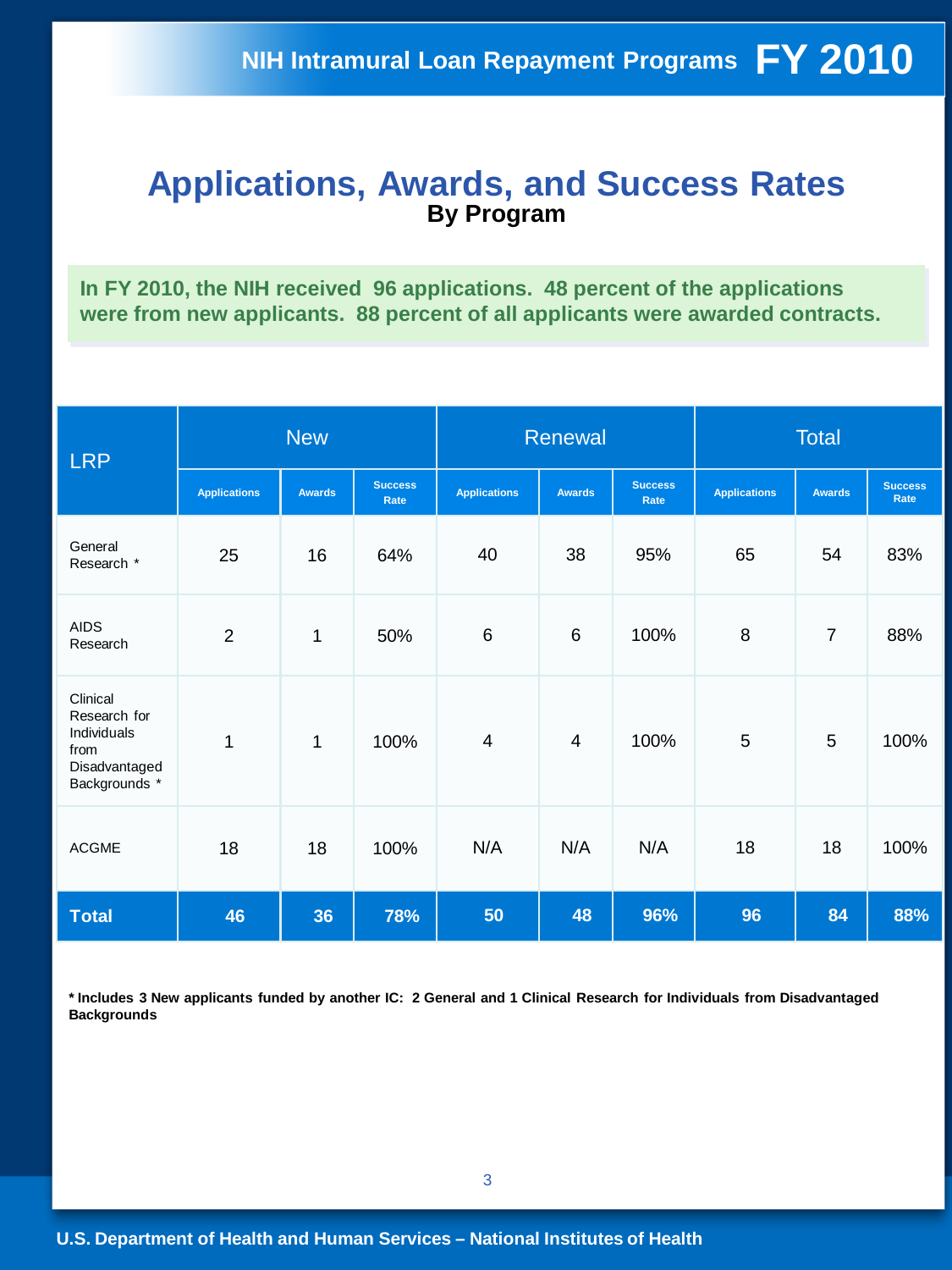#### **Applications, Awards, and Success Rates By Program**

**In FY 2010, the NIH received 96 applications. 48 percent of the applications were from new applicants. 88 percent of all applicants were awarded contracts.** 

| <b>LRP</b>                                                                        | <b>New</b>          |               |                        | Renewal             |               |                        | <b>Total</b>        |                |                        |
|-----------------------------------------------------------------------------------|---------------------|---------------|------------------------|---------------------|---------------|------------------------|---------------------|----------------|------------------------|
|                                                                                   | <b>Applications</b> | <b>Awards</b> | <b>Success</b><br>Rate | <b>Applications</b> | <b>Awards</b> | <b>Success</b><br>Rate | <b>Applications</b> | <b>Awards</b>  | <b>Success</b><br>Rate |
| General<br>Research *                                                             | 25                  | 16            | 64%                    | 40                  | 38            | 95%                    | 65                  | 54             | 83%                    |
| <b>AIDS</b><br>Research                                                           | $\overline{2}$      | 1             | 50%                    | $\,6$               | $\,6\,$       | 100%                   | 8                   | $\overline{7}$ | 88%                    |
| Clinical<br>Research for<br>Individuals<br>from<br>Disadvantaged<br>Backgrounds * | $\mathbf{1}$        | $\mathbf{1}$  | 100%                   | $\overline{4}$      | 4             | 100%                   | 5                   | 5              | 100%                   |
| <b>ACGME</b>                                                                      | 18                  | 18            | 100%                   | N/A                 | N/A           | N/A                    | 18                  | 18             | 100%                   |
| <b>Total</b>                                                                      | 46                  | 36            | 78%                    | 50                  | 48            | 96%                    | 96                  | 84             | 88%                    |

**\* Includes 3 New applicants funded by another IC: 2 General and 1 Clinical Research for Individuals from Disadvantaged Backgrounds**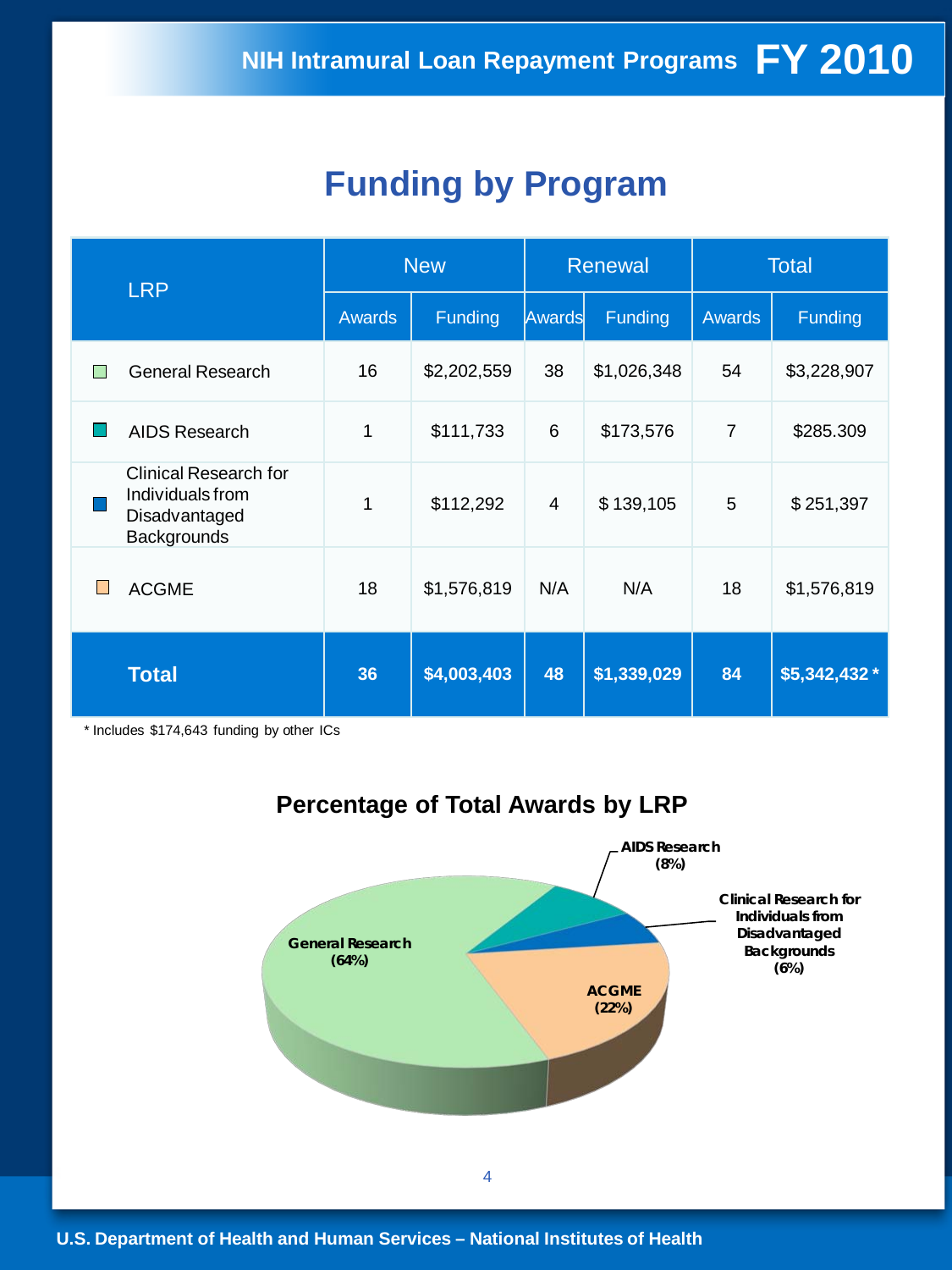### **Funding by Program**

| <b>LRP</b>                                                                       | <b>New</b>    |             |        | Renewal     | <b>Total</b>   |               |  |
|----------------------------------------------------------------------------------|---------------|-------------|--------|-------------|----------------|---------------|--|
|                                                                                  | <b>Awards</b> | Funding     | Awards | Funding     | <b>Awards</b>  | Funding       |  |
| <b>General Research</b>                                                          | 16            | \$2,202,559 | 38     | \$1,026,348 | 54             | \$3,228,907   |  |
| AIDS Research                                                                    | 1             | \$111,733   | 6      | \$173,576   | $\overline{7}$ | \$285.309     |  |
| <b>Clinical Research for</b><br>Individuals from<br>Disadvantaged<br>Backgrounds | 1             | \$112,292   | 4      | \$139,105   | 5              | \$251,397     |  |
| <b>ACGME</b><br>L                                                                | 18            | \$1,576,819 | N/A    | N/A         | 18             | \$1,576,819   |  |
| <b>Total</b>                                                                     | 36            | \$4,003,403 | 48     | \$1,339,029 | 84             | \$5,342,432 * |  |

\* Includes \$174,643 funding by other ICs



### **Percentage of Total Awards by LRP**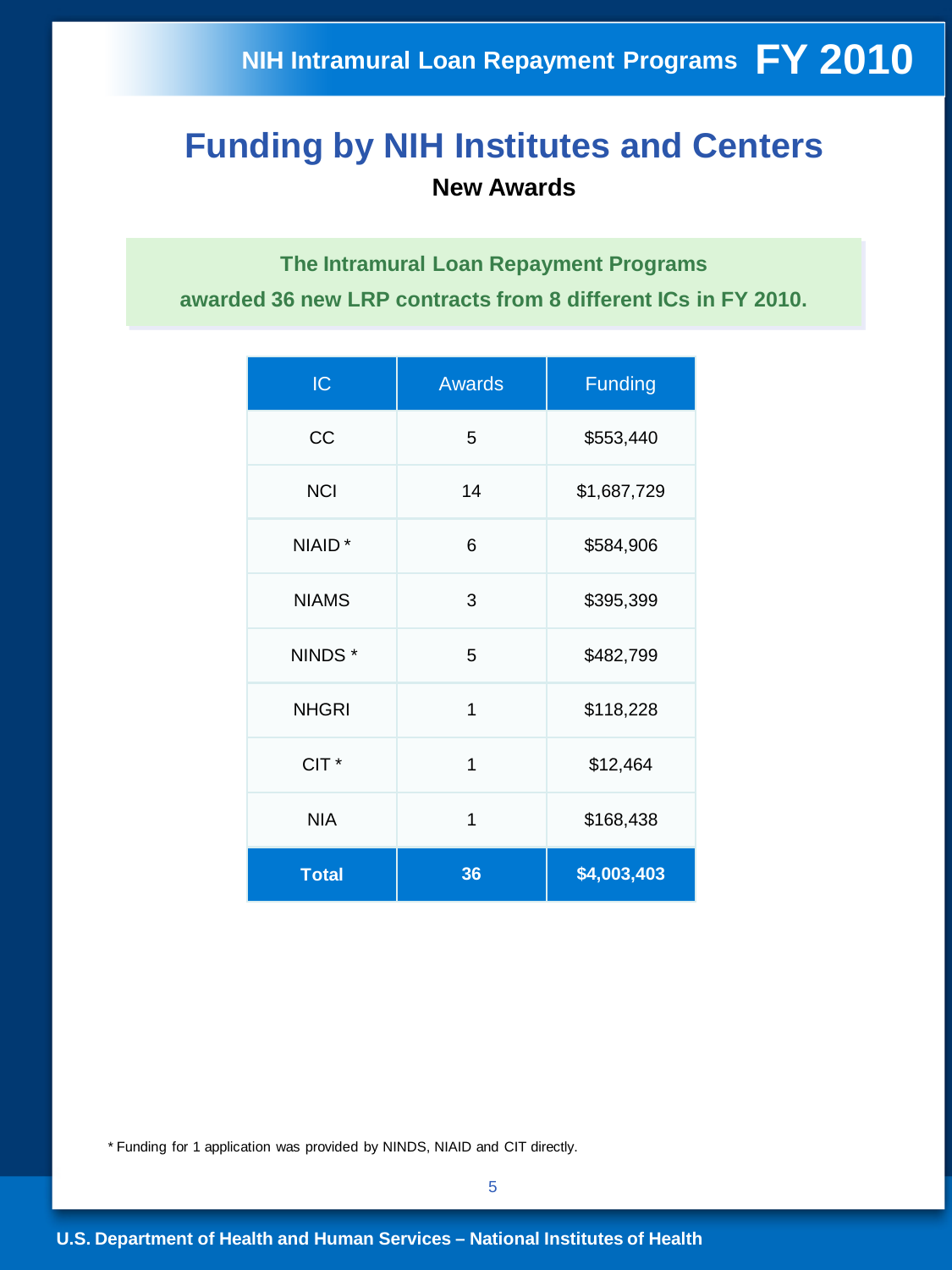### **Funding by NIH Institutes and Centers New Awards**

**The Intramural Loan Repayment Programs awarded 36 new LRP contracts from 8 different ICs in FY 2010.**

| IC               | <b>Awards</b> | <b>Funding</b> |
|------------------|---------------|----------------|
| <b>CC</b>        | 5             | \$553,440      |
| <b>NCI</b>       | 14            | \$1,687,729    |
| NIAID*           | 6             | \$584,906      |
| <b>NIAMS</b>     | 3             | \$395,399      |
| NINDS*           | 5             | \$482,799      |
| <b>NHGRI</b>     | 1             | \$118,228      |
| CIT <sup>*</sup> | 1             | \$12,464       |
| <b>NIA</b>       | 1             | \$168,438      |
| <b>Total</b>     | 36            | \$4,003,403    |

\* Funding for 1 application was provided by NINDS, NIAID and CIT directly.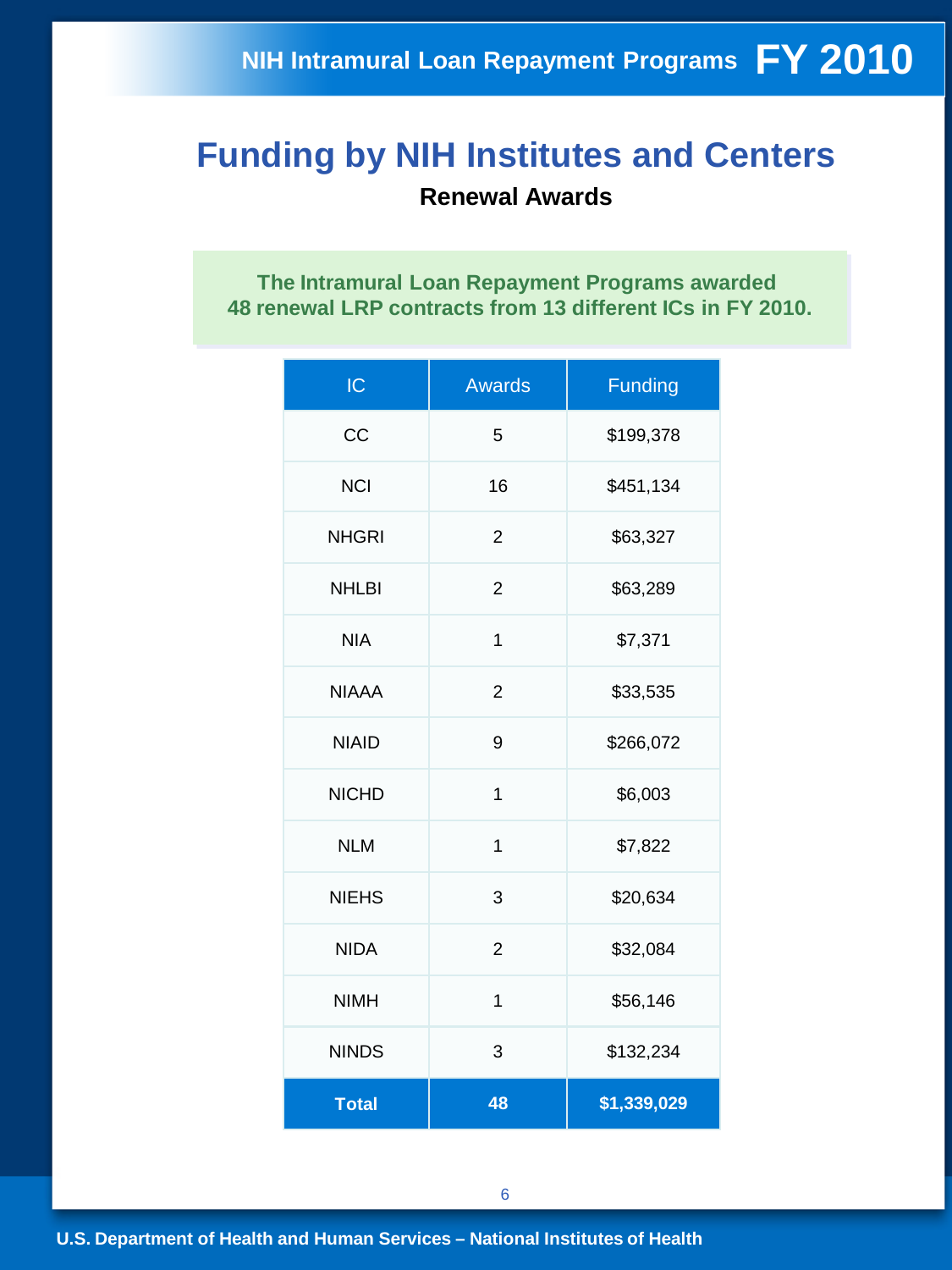### **Funding by NIH Institutes and Centers Renewal Awards**

**The Intramural Loan Repayment Programs awarded 48 renewal LRP contracts from 13 different ICs in FY 2010.**

| IC           | <b>Awards</b>  | <b>Funding</b> |  |  |
|--------------|----------------|----------------|--|--|
| CC           | 5              | \$199,378      |  |  |
| <b>NCI</b>   | 16             | \$451,134      |  |  |
| <b>NHGRI</b> | $\overline{2}$ | \$63,327       |  |  |
| <b>NHLBI</b> | 2              | \$63,289       |  |  |
| <b>NIA</b>   | 1              | \$7,371        |  |  |
| <b>NIAAA</b> | $\overline{2}$ | \$33,535       |  |  |
| <b>NIAID</b> | 9              | \$266,072      |  |  |
| <b>NICHD</b> | 1              | \$6,003        |  |  |
| <b>NLM</b>   | 1              | \$7,822        |  |  |
| <b>NIEHS</b> | 3              | \$20,634       |  |  |
| <b>NIDA</b>  | $\overline{2}$ | \$32,084       |  |  |
| <b>NIMH</b>  | 1              | \$56,146       |  |  |
| <b>NINDS</b> | 3              | \$132,234      |  |  |
| <b>Total</b> | 48             | \$1,339,029    |  |  |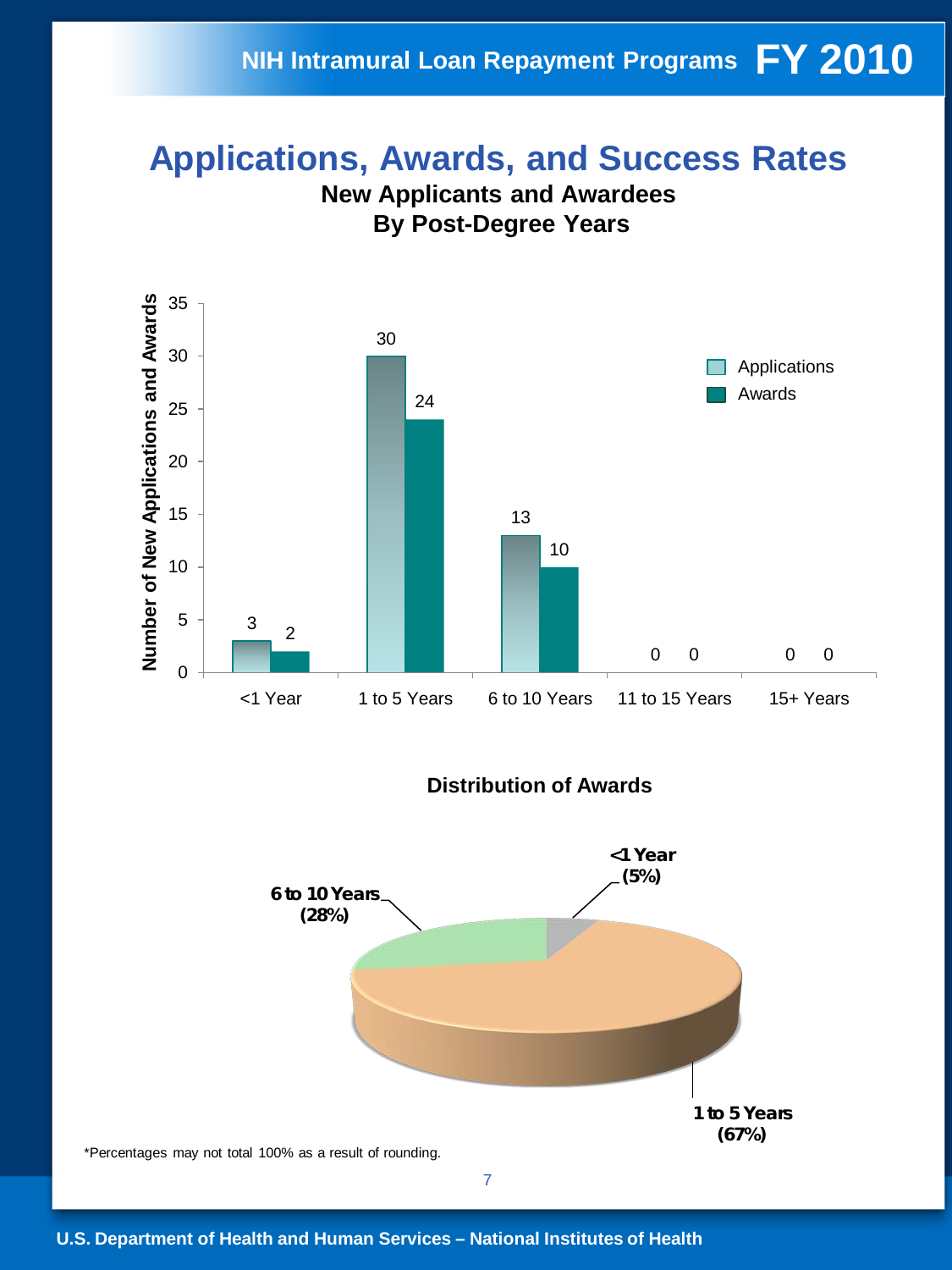### **NIH Intramural Loan Repayment Programs FY 2010**

### **Applications, Awards, and Success Rates**





#### **Distribution of Awards**



**U.S. Department of Health and Human Services – National Institutes of Health**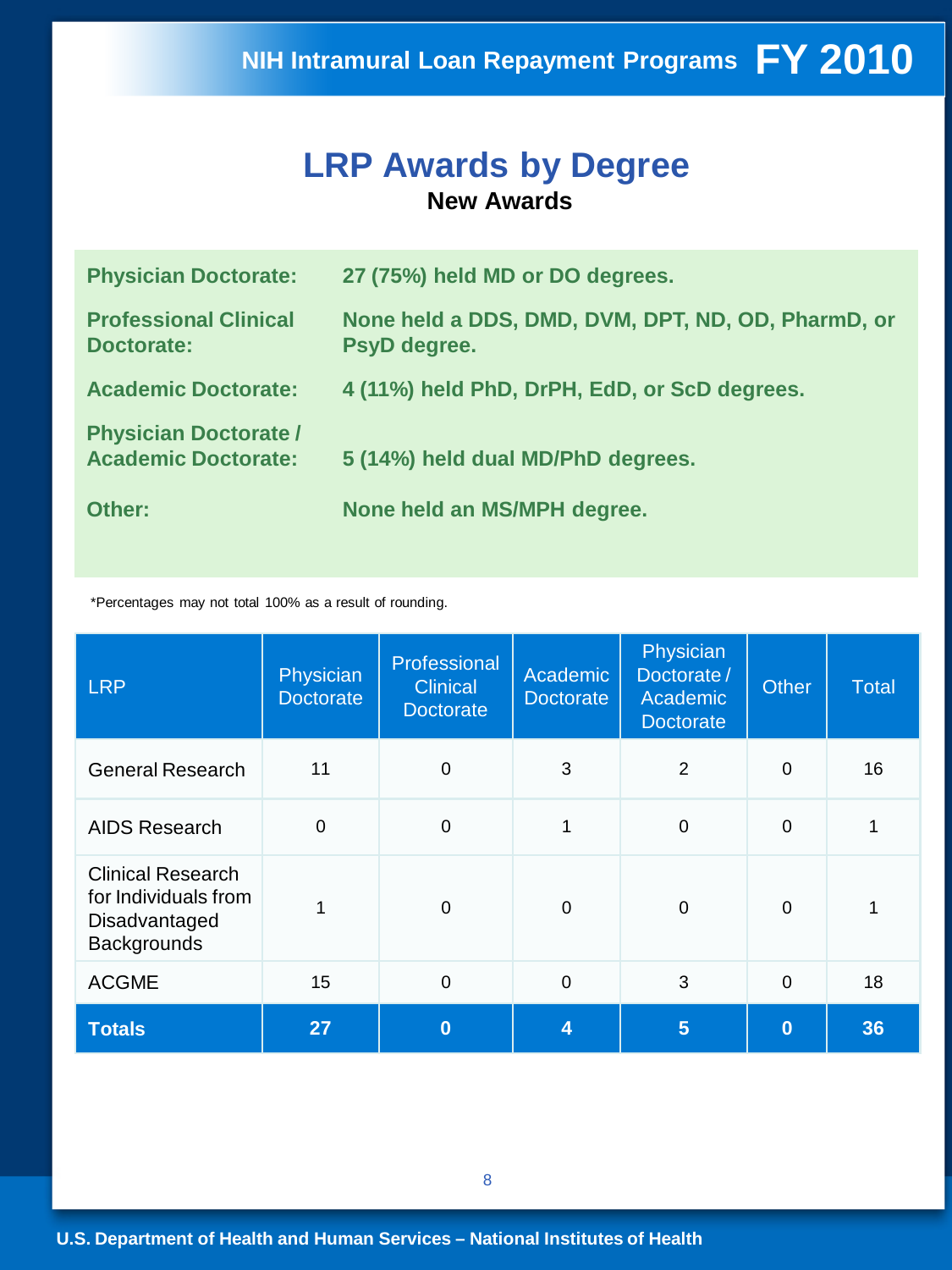#### **LRP Awards by Degree New Awards**

| <b>Physician Doctorate:</b>                                | 27 (75%) held MD or DO degrees.                                    |
|------------------------------------------------------------|--------------------------------------------------------------------|
| <b>Professional Clinical</b><br><b>Doctorate:</b>          | None held a DDS, DMD, DVM, DPT, ND, OD, PharmD, or<br>PsyD degree. |
| <b>Academic Doctorate:</b>                                 | 4 (11%) held PhD, DrPH, EdD, or ScD degrees.                       |
| <b>Physician Doctorate /</b><br><b>Academic Doctorate:</b> | 5 (14%) held dual MD/PhD degrees.                                  |
| Other:                                                     | None held an MS/MPH degree.                                        |

\*Percentages may not total 100% as a result of rounding.

| <b>LRP</b>                                                                              | Physician <sup>1</sup><br><b>Doctorate</b> | Professional<br><b>Clinical</b><br><b>Doctorate</b> | Academic<br><b>Doctorate</b> | Physician<br>Doctorate/<br>Academic<br><b>Doctorate</b> | <b>Other</b>   | Total |
|-----------------------------------------------------------------------------------------|--------------------------------------------|-----------------------------------------------------|------------------------------|---------------------------------------------------------|----------------|-------|
| <b>General Research</b>                                                                 | 11                                         | $\mathbf 0$                                         | 3                            | 2                                                       | $\Omega$       | 16    |
| <b>AIDS Research</b>                                                                    | $\mathbf 0$                                | $\mathbf 0$                                         | 1                            | $\mathbf 0$                                             | $\overline{0}$ | 1     |
| <b>Clinical Research</b><br>for Individuals from<br>Disadvantaged<br><b>Backgrounds</b> |                                            | 0                                                   | $\Omega$                     | $\Omega$                                                | $\Omega$       |       |
| <b>ACGME</b>                                                                            | 15                                         | $\mathbf 0$                                         | $\overline{0}$               | 3                                                       | $\mathbf 0$    | 18    |
| <b>Totals</b>                                                                           | 27                                         | $\bf{0}$                                            | 4                            | 5                                                       | $\bf{0}$       | 36    |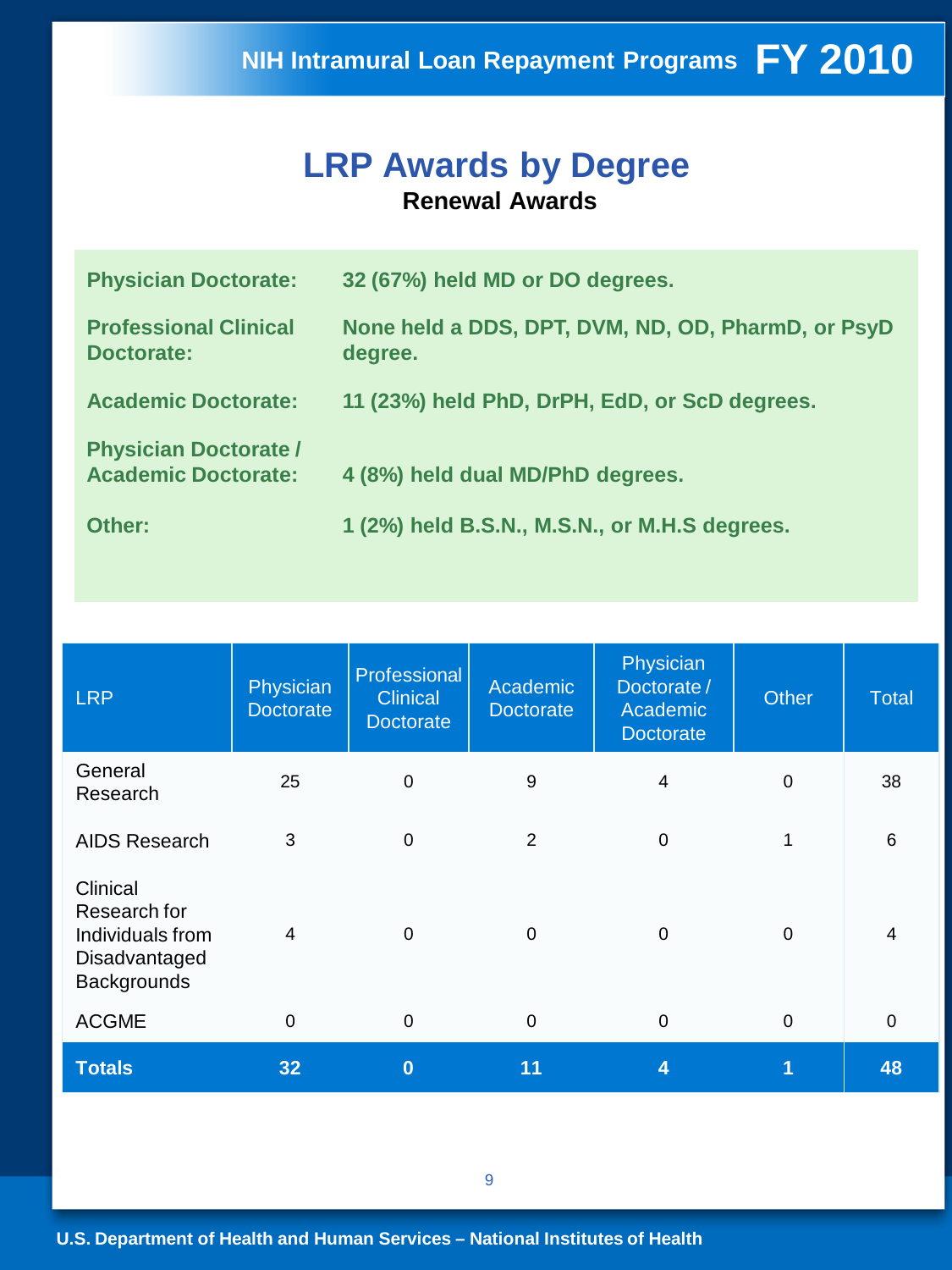#### **LRP Awards by Degree Renewal Awards**

| <b>Physician Doctorate:</b>                                | 32 (67%) held MD or DO degrees.                               |
|------------------------------------------------------------|---------------------------------------------------------------|
| <b>Professional Clinical</b><br>Doctorate:                 | None held a DDS, DPT, DVM, ND, OD, PharmD, or PsyD<br>degree. |
| <b>Academic Doctorate:</b>                                 | 11 (23%) held PhD, DrPH, EdD, or ScD degrees.                 |
| <b>Physician Doctorate /</b><br><b>Academic Doctorate:</b> | 4 (8%) held dual MD/PhD degrees.                              |
| Other:                                                     | 1 (2%) held B.S.N., M.S.N., or M.H.S degrees.                 |

| <b>LRP</b>                                                                   | Physician<br><b>Doctorate</b> | Professional<br><b>Clinical</b><br><b>Doctorate</b> | Physician<br>Academic<br>Doctorate /<br><b>Doctorate</b><br>Academic<br><b>Doctorate</b> |             | <b>Other</b> | Total          |
|------------------------------------------------------------------------------|-------------------------------|-----------------------------------------------------|------------------------------------------------------------------------------------------|-------------|--------------|----------------|
| General<br>Research                                                          | 25                            | $\mathbf 0$                                         | 9                                                                                        | 4           | $\mathbf 0$  | 38             |
| <b>AIDS Research</b>                                                         | 3                             | $\mathbf 0$                                         | $\overline{2}$                                                                           | $\Omega$    | 1            | $6\phantom{1}$ |
| Clinical<br>Research for<br>Individuals from<br>Disadvantaged<br>Backgrounds | 4                             | $\mathbf 0$                                         | 0                                                                                        | $\Omega$    | $\mathbf 0$  | 4              |
| <b>ACGME</b>                                                                 | $\mathbf 0$                   | $\mathbf 0$                                         | $\boldsymbol{0}$                                                                         | $\mathbf 0$ | $\mathbf 0$  | 0              |
| <b>Totals</b>                                                                | 32                            | $\bf{0}$                                            | 11                                                                                       | 4           | 1            | 48             |

9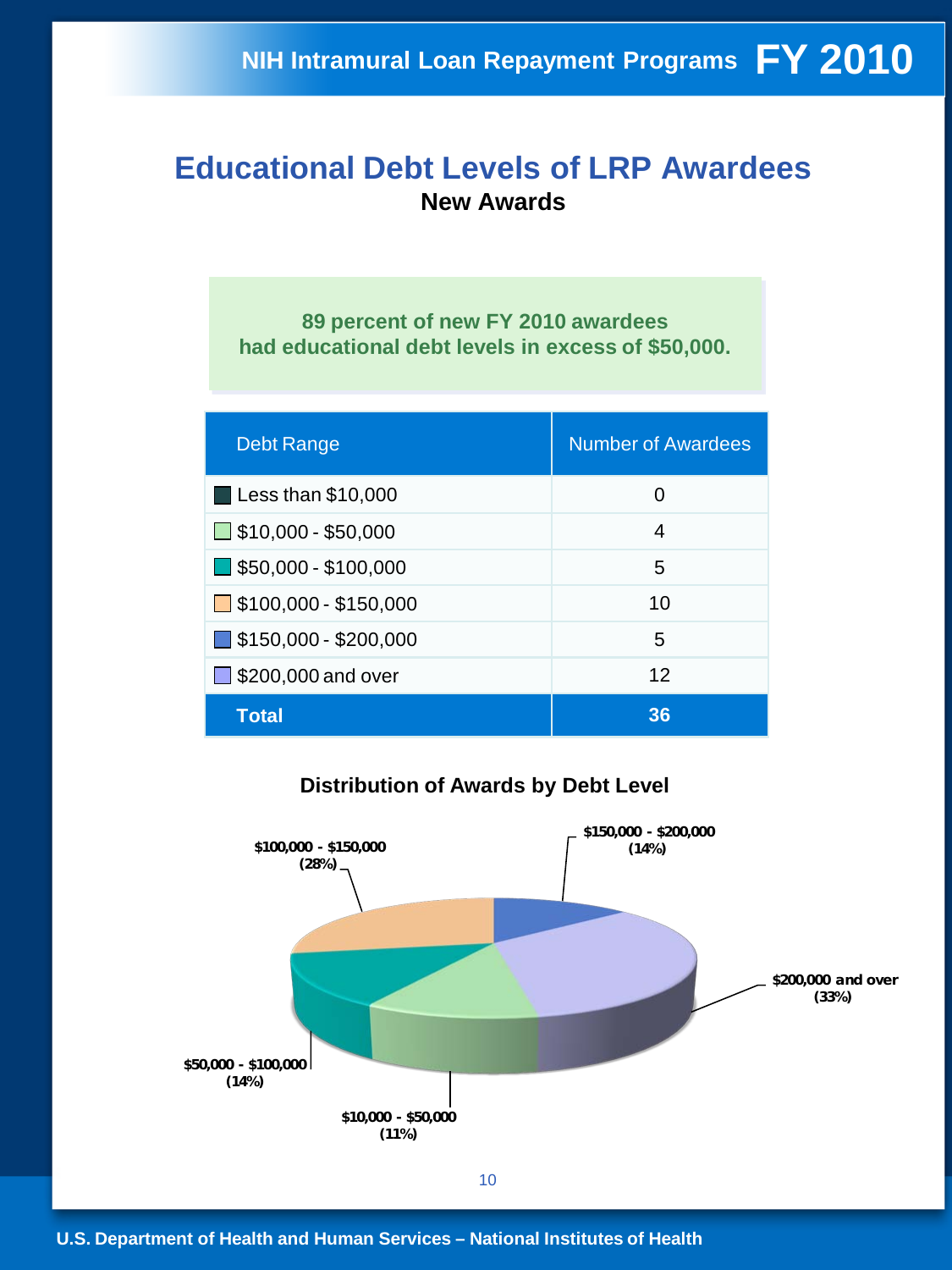#### **Educational Debt Levels of LRP Awardees New Awards**

**89 percent of new FY 2010 awardees had educational debt levels in excess of \$50,000.**

| <b>Debt Range</b>                    | <b>Number of Awardees</b> |
|--------------------------------------|---------------------------|
| Less than \$10,000                   | 0                         |
| $\Box$ \$10,000 - \$50,000           | 4                         |
| $\blacksquare$ \$50,000 - \$100,000  | 5                         |
| $\Box$ \$100,000 - \$150,000         | 10                        |
| $\blacksquare$ \$150,000 - \$200,000 | 5                         |
| $\Box$ \$200,000 and over            | 12                        |
| Total                                | 36                        |

#### **\$10,000 - \$50,000 (11%) \$50,000 - \$100,000 (14%) \$100,000 - \$150,000 (28%) \$150,000 - \$200,000 (14%) \$200,000 and over (33%)**

#### **Distribution of Awards by Debt Level**

10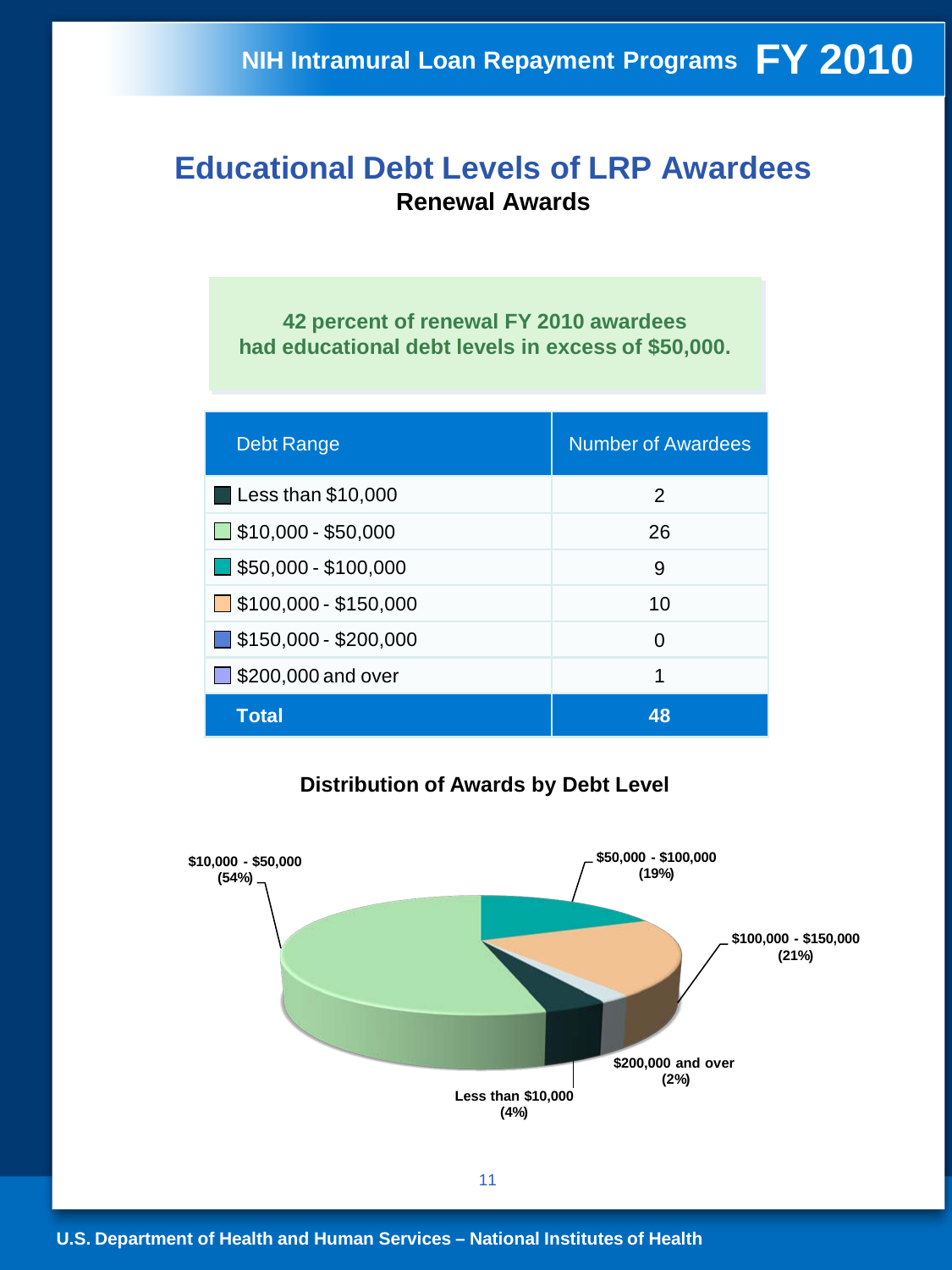#### **Educational Debt Levels of LRP Awardees Renewal Awards**

**42 percent of renewal FY 2010 awardees had educational debt levels in excess of \$50,000.**

| <b>Debt Range</b>                    | <b>Number of Awardees</b> |
|--------------------------------------|---------------------------|
| <b>Less than \$10,000</b>            | 2                         |
| $\Box$ \$10,000 - \$50,000           | 26                        |
| $\blacksquare$ \$50,000 - \$100,000  | 9                         |
| $\Box$ \$100,000 - \$150,000         | 10                        |
| $\blacksquare$ \$150,000 - \$200,000 | 0                         |
| $\Box$ \$200,000 and over            | 1                         |
| <b>Total</b>                         | 48                        |

#### **Distribution of Awards by Debt Level**

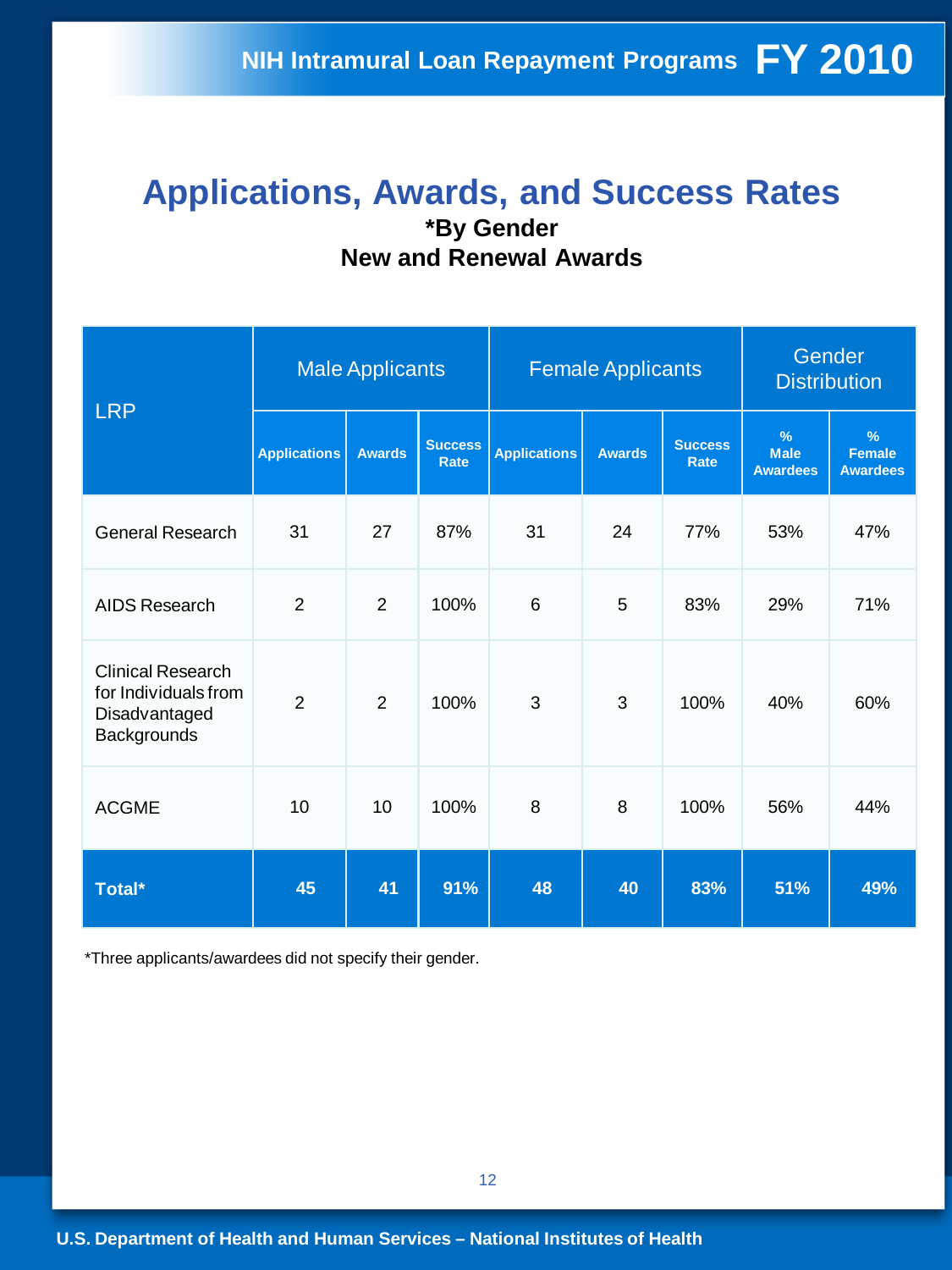#### **Applications, Awards, and Success Rates \*By Gender New and Renewal Awards**

| <b>LRP</b>                                                                       | <b>Male Applicants</b> |                |                               |                     | <b>Female Applicants</b> | Gender<br><b>Distribution</b> |                                                 |                                          |
|----------------------------------------------------------------------------------|------------------------|----------------|-------------------------------|---------------------|--------------------------|-------------------------------|-------------------------------------------------|------------------------------------------|
|                                                                                  | <b>Applications</b>    | <b>Awards</b>  | <b>Success</b><br><b>Rate</b> | <b>Applications</b> | <b>Awards</b>            | <b>Success</b><br><b>Rate</b> | $\frac{9}{6}$<br><b>Male</b><br><b>Awardees</b> | $\%$<br><b>Female</b><br><b>Awardees</b> |
| <b>General Research</b>                                                          | 31                     | 27             | 87%                           | 31                  | 24                       | 77%                           | 53%                                             | 47%                                      |
| AIDS Research                                                                    | $\overline{2}$         | 2              | 100%                          | $6\phantom{1}$      | 5                        | 83%                           | 29%                                             | 71%                                      |
| <b>Clinical Research</b><br>for Individuals from<br>Disadvantaged<br>Backgrounds | $\overline{2}$         | $\overline{2}$ | 100%                          | 3                   | 3                        | 100%                          | 40%                                             | 60%                                      |
| <b>ACGME</b>                                                                     | 10                     | 10             | 100%                          | 8                   | 8                        | 100%                          | 56%                                             | 44%                                      |
| Total*                                                                           | 45                     | 41             | 91%                           | 48                  | 40                       | 83%                           | 51%                                             | 49%                                      |

\*Three applicants/awardees did not specify their gender.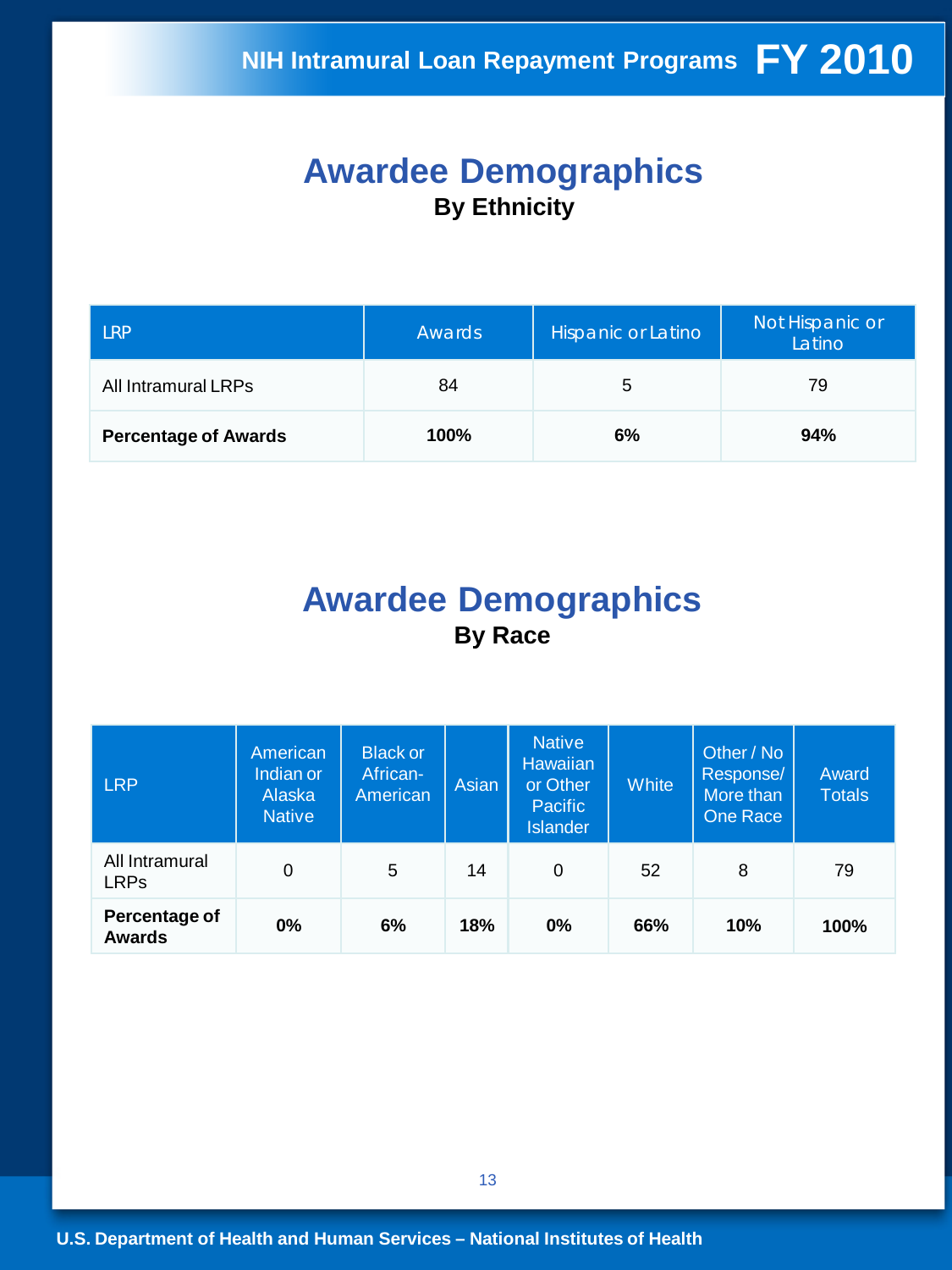#### **Awardee Demographics By Ethnicity**

| l RP                        | Awards | Hispanic or Latino | Not Hispanic or<br>Latino |  |
|-----------------------------|--------|--------------------|---------------------------|--|
| All Intramural LRPs         | 84     | 5                  | 79                        |  |
| <b>Percentage of Awards</b> | 100%   | 6%                 | 94%                       |  |

### **Awardee Demographics By Race**

| <b>LRP</b>                     | American<br>Indian or<br>Alaska<br><b>Native</b> | <b>Black or</b><br>African-<br>American | Asian | <b>Native</b><br><b>Hawaiian</b><br>or Other<br><b>Pacific</b><br><b>Islander</b> | <b>White</b> | Other / No<br>Response/<br>More than<br>One Race | Award<br><b>Totals</b> |
|--------------------------------|--------------------------------------------------|-----------------------------------------|-------|-----------------------------------------------------------------------------------|--------------|--------------------------------------------------|------------------------|
| All Intramural<br><b>LRPs</b>  | 0                                                | 5                                       | 14    | 0                                                                                 | 52           | 8                                                | 79                     |
| Percentage of<br><b>Awards</b> | 0%                                               | 6%                                      | 18%   | $0\%$                                                                             | 66%          | 10%                                              | 100%                   |